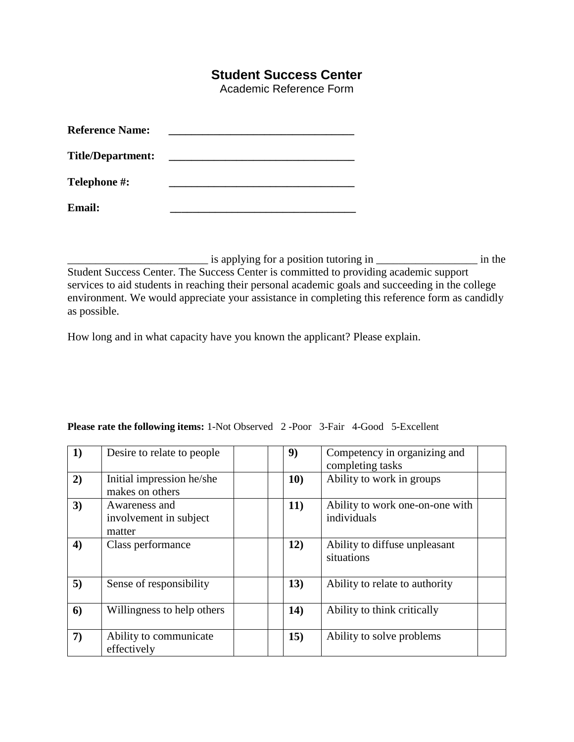## **Student Success Center**

Academic Reference Form

| <b>Reference Name:</b>   |  |
|--------------------------|--|
| <b>Title/Department:</b> |  |
| Telephone #:             |  |
| <b>Email:</b>            |  |

\_\_\_\_\_\_\_\_\_\_\_\_\_\_\_\_\_\_\_\_\_\_\_\_\_ is applying for a position tutoring in \_\_\_\_\_\_\_\_\_\_\_\_\_\_\_\_\_\_ in the

Student Success Center. The Success Center is committed to providing academic support services to aid students in reaching their personal academic goals and succeeding in the college environment. We would appreciate your assistance in completing this reference form as candidly as possible.

How long and in what capacity have you known the applicant? Please explain.

| 1)               | Desire to relate to people                        | 9)          | Competency in organizing and<br>completing tasks |
|------------------|---------------------------------------------------|-------------|--------------------------------------------------|
| 2)               | Initial impression he/she<br>makes on others      | 10)         | Ability to work in groups                        |
| 3)               | Awareness and<br>involvement in subject<br>matter | <b>11</b> ) | Ability to work one-on-one with<br>individuals   |
| $\boldsymbol{4}$ | Class performance                                 | 12)         | Ability to diffuse unpleasant<br>situations      |
| 5)               | Sense of responsibility                           | 13)         | Ability to relate to authority                   |
| 6)               | Willingness to help others                        | 14)         | Ability to think critically                      |
| 7)               | Ability to communicate<br>effectively             | 15)         | Ability to solve problems                        |

## **Please rate the following items:** 1-Not Observed 2 -Poor 3-Fair 4-Good 5-Excellent